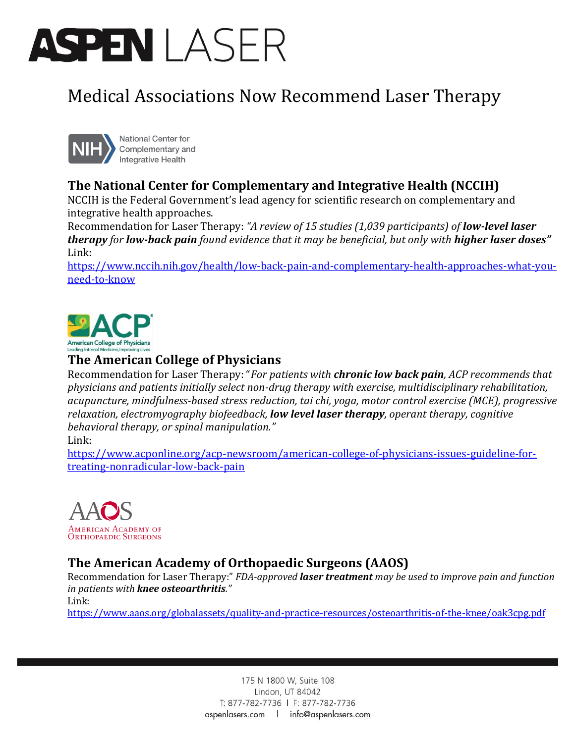# ASPENI ASFR

## Medical Associations Now Recommend Laser Therapy



National Center for Complementary and Integrative Health

### **The National Center for Complementary and Integrative Health (NCCIH)**

NCCIH is the Federal Government's lead agency for scientific research on complementary and integrative health approaches.

Recommendation for Laser Therapy: *"A review of 15 studies (1,039 participants) of low-level laser therapy* for *low-back pain* found evidence that it may be beneficial, but only with *higher laser doses* Link:

[https://www.nccih.nih.gov/health/low-back-pain-and-complementary-health-approaches-what-you](https://www.nccih.nih.gov/health/low-back-pain-and-complementary-health-approaches-what-you-need-to-know)[need-to-know](https://www.nccih.nih.gov/health/low-back-pain-and-complementary-health-approaches-what-you-need-to-know)



#### **The American College of Physicians**

Recommendation for Laser Therapy: "*For patients with chronic low back pain, ACP recommends that physicians and patients initially select non-drug therapy with exercise, multidisciplinary rehabilitation, acupuncture, mindfulness-based stress reduction, tai chi, yoga, motor control exercise (MCE), progressive relaxation, electromyography biofeedback, low level laser therapy, operant therapy, cognitive behavioral therapy, or spinal manipulation."*

#### Link:

[https://www.acponline.org/acp-newsroom/american-college-of-physicians-issues-guideline-for](https://www.acponline.org/acp-newsroom/american-college-of-physicians-issues-guideline-for-treating-nonradicular-low-back-pain)[treating-nonradicular-low-back-pain](https://www.acponline.org/acp-newsroom/american-college-of-physicians-issues-guideline-for-treating-nonradicular-low-back-pain)



### **The American Academy of Orthopaedic Surgeons (AAOS)**

Recommendation for Laser Therapy:" *FDA-approved laser treatment may be used to improve pain and function in patients with knee osteoarthritis."*

Link:

<https://www.aaos.org/globalassets/quality-and-practice-resources/osteoarthritis-of-the-knee/oak3cpg.pdf>

175 N 1800 W, Suite 108 Lindon, UT 84042 T: 877-782-7736 | F: 877-782-7736 aspenlasers.com | info@aspenlasers.com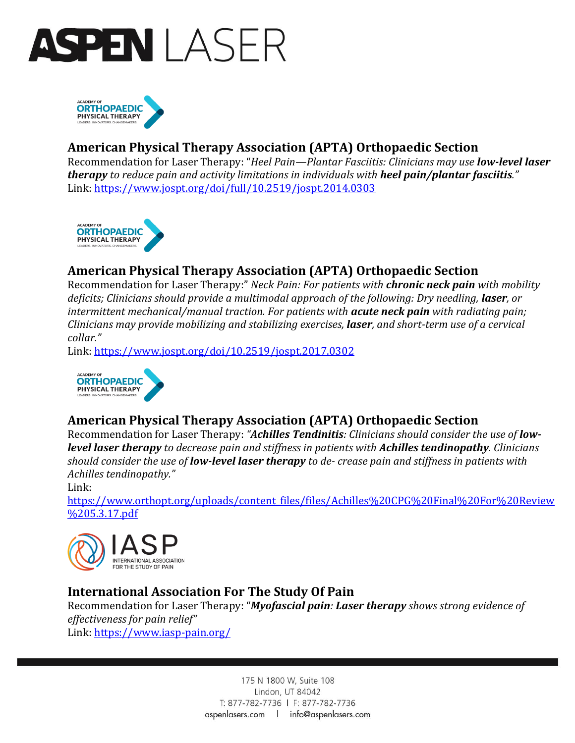



#### **American Physical Therapy Association (APTA) Orthopaedic Section**

Recommendation for Laser Therapy: "*Heel Pain—Plantar Fasciitis: Clinicians may use low-level laser therapy to reduce pain and activity limitations in individuals with heel pain/plantar fasciitis."* Link:<https://www.jospt.org/doi/full/10.2519/jospt.2014.0303>



#### **American Physical Therapy Association (APTA) Orthopaedic Section**

Recommendation for Laser Therapy:" *Neck Pain: For patients with chronic neck pain with mobility deficits; Clinicians should provide a multimodal approach of the following: Dry needling, laser, or intermittent mechanical/manual traction. For patients with acute neck pain with radiating pain; Clinicians may provide mobilizing and stabilizing exercises, laser, and short-term use of a cervical collar."*

Link:<https://www.jospt.org/doi/10.2519/jospt.2017.0302>



#### **American Physical Therapy Association (APTA) Orthopaedic Section**

Recommendation for Laser Therapy: *"Achilles Tendinitis: Clinicians should consider the use of lowlevel laser therapy to decrease pain and stiffness in patients with Achilles tendinopathy. Clinicians should consider the use of low-level laser therapy to de- crease pain and stiffness in patients with Achilles tendinopathy."*

Link:

[https://www.orthopt.org/uploads/content\\_files/files/Achilles%20CPG%20Final%20For%20Review](https://www.orthopt.org/uploads/content_files/files/Achilles%20CPG%20Final%20For%20Review%205.3.17.pdf) [%205.3.17.pdf](https://www.orthopt.org/uploads/content_files/files/Achilles%20CPG%20Final%20For%20Review%205.3.17.pdf)



#### **International Association For The Study Of Pain**

Recommendation for Laser Therapy: "*Myofascial pain: Laser therapy shows strong evidence of effectiveness for pain relief"* Link:<https://www.iasp-pain.org/>

> 175 N 1800 W, Suite 108 Lindon, UT 84042 T: 877-782-7736 | F: 877-782-7736 aspenlasers.com | info@aspenlasers.com